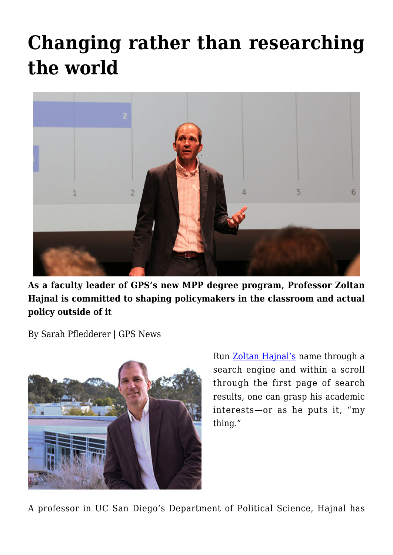# **[Changing rather than researching](https://gpsnews.ucsd.edu/changing-rather-than-researching-the-world/) [the world](https://gpsnews.ucsd.edu/changing-rather-than-researching-the-world/)**



**As a faculty leader of GPS's new MPP degree program, Professor Zoltan Hajnal is committed to shaping policymakers in the classroom and actual policy outside of it**

By Sarah Pfledderer | GPS News



Run [Zoltan Hajnal's](https://gps.ucsd.edu/faculty-directory/zoltan-hajnal.html) name through a search engine and within a scroll through the first page of search results, one can grasp his academic interests—or as he puts it, "my thing."

A professor in UC San Diego's Department of Political Science, Hajnal has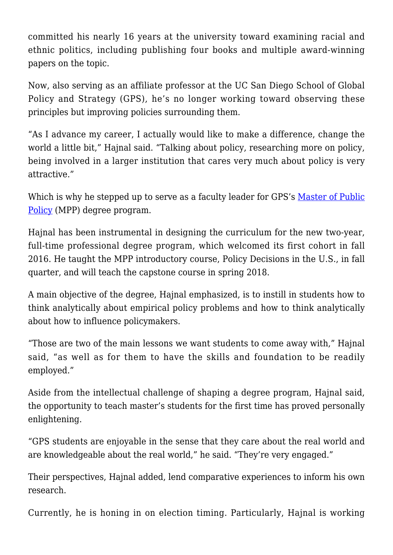committed his nearly 16 years at the university toward examining racial and ethnic politics, including publishing four books and multiple award-winning papers on the topic.

Now, also serving as an affiliate professor at the UC San Diego School of Global Policy and Strategy (GPS), he's no longer working toward observing these principles but improving policies surrounding them.

"As I advance my career, I actually would like to make a difference, change the world a little bit," Hajnal said. "Talking about policy, researching more on policy, being involved in a larger institution that cares very much about policy is very attractive."

Which is why he stepped up to serve as a faculty leader for GPS's [Master of Public](https://gps.ucsd.edu/academics/mpp.html) [Policy](https://gps.ucsd.edu/academics/mpp.html) (MPP) degree program.

Hajnal has been instrumental in designing the curriculum for the new two-year, full-time professional degree program, which welcomed its first cohort in fall 2016. He taught the MPP introductory course, Policy Decisions in the U.S., in fall quarter, and will teach the capstone course in spring 2018.

A main objective of the degree, Hajnal emphasized, is to instill in students how to think analytically about empirical policy problems and how to think analytically about how to influence policymakers.

"Those are two of the main lessons we want students to come away with," Hajnal said, "as well as for them to have the skills and foundation to be readily employed."

Aside from the intellectual challenge of shaping a degree program, Hajnal said, the opportunity to teach master's students for the first time has proved personally enlightening.

"GPS students are enjoyable in the sense that they care about the real world and are knowledgeable about the real world," he said. "They're very engaged."

Their perspectives, Hajnal added, lend comparative experiences to inform his own research.

Currently, he is honing in on election timing. Particularly, Hajnal is working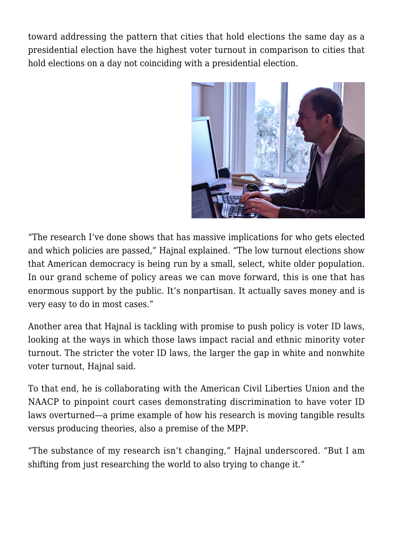toward addressing the pattern that cities that hold elections the same day as a presidential election have the highest voter turnout in comparison to cities that hold elections on a day not coinciding with a presidential election.



"The research I've done shows that has massive implications for who gets elected and which policies are passed," Hajnal explained. "The low turnout elections show that American democracy is being run by a small, select, white older population. In our grand scheme of policy areas we can move forward, this is one that has enormous support by the public. It's nonpartisan. It actually saves money and is very easy to do in most cases."

Another area that Hajnal is tackling with promise to push policy is voter ID laws, looking at the ways in which those laws impact racial and ethnic minority voter turnout. The stricter the voter ID laws, the larger the gap in white and nonwhite voter turnout, Hajnal said.

To that end, he is collaborating with the American Civil Liberties Union and the NAACP to pinpoint court cases demonstrating discrimination to have voter ID laws overturned—a prime example of how his research is moving tangible results versus producing theories, also a premise of the MPP.

"The substance of my research isn't changing," Hajnal underscored. "But I am shifting from just researching the world to also trying to change it."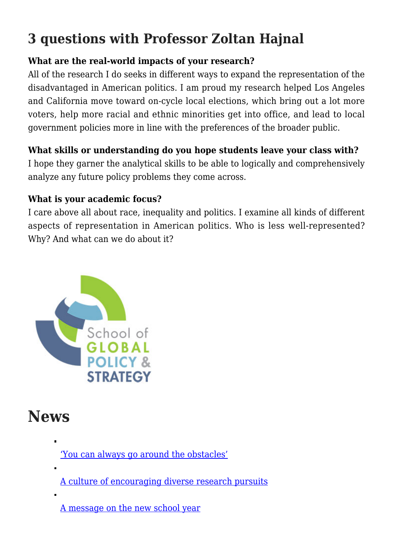## **3 questions with Professor Zoltan Hajnal**

#### **What are the real-world impacts of your research?**

All of the research I do seeks in different ways to expand the representation of the disadvantaged in American politics. I am proud my research helped Los Angeles and California move toward on-cycle local elections, which bring out a lot more voters, help more racial and ethnic minorities get into office, and lead to local government policies more in line with the preferences of the broader public.

#### **What skills or understanding do you hope students leave your class with?**

I hope they garner the analytical skills to be able to logically and comprehensively analyze any future policy problems they come across.

#### **What is your academic focus?**

I care above all about race, inequality and politics. I examine all kinds of different aspects of representation in American politics. Who is less well-represented? Why? And what can we do about it?



### **News**

['You can always go around the obstacles'](https://gpsnews.ucsd.edu/you-can-always-go-around-the-obstacles.html) [A culture of encouraging diverse research pursuits](https://gpsnews.ucsd.edu/a-culture-of-encouraging-diverse-research-pursuits.html)

[A message on the new school year](https://gpsnews.ucsd.edu/a-message-on-the-new-school-year.html)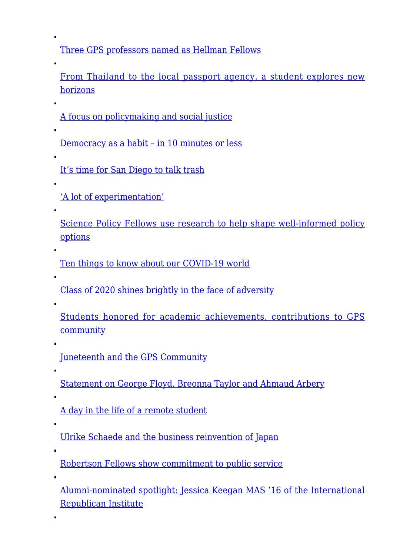[Three GPS professors named as Hellman Fellows](https://gpsnews.ucsd.edu/three-gps-professors-named-as-hellman-fellows.html)

[From Thailand to the local passport agency, a student explores new](https://gpsnews.ucsd.edu/from-thailand-to-the-local-passport-agency-a-student-explores-new-horizons.html) [horizons](https://gpsnews.ucsd.edu/from-thailand-to-the-local-passport-agency-a-student-explores-new-horizons.html)

[A focus on policymaking and social justice](https://gpsnews.ucsd.edu/a-focus-on-policymaking-and-social-justice.html)

[Democracy as a habit – in 10 minutes or less](https://gpsnews.ucsd.edu/democracy-as-a-habit-in-10-minutes-or-less.html)

[It's time for San Diego to talk trash](https://gpsnews.ucsd.edu/its-time-for-san-diego-to-talk-trash.html)

['A lot of experimentation'](https://gpsnews.ucsd.edu/a-lot-of-experimentation.html)

 $\blacksquare$ 

[Science Policy Fellows use research to help shape well-informed policy](https://gpsnews.ucsd.edu/science-policy-fellows-use-research-to-help-shape-well-informed-policy-options.html) [options](https://gpsnews.ucsd.edu/science-policy-fellows-use-research-to-help-shape-well-informed-policy-options.html)

[Ten things to know about our COVID-19 world](https://gpsnews.ucsd.edu/ten-things-to-know-about-our-covid-19-world.html)

[Class of 2020 shines brightly in the face of adversity](https://gpsnews.ucsd.edu/class-of-2020-shines-bright-in-the-face-of-adversity.html)

 $\blacksquare$ 

 $\blacksquare$ 

[Students honored for academic achievements, contributions to GPS](https://gpsnews.ucsd.edu/students-honored-for-academic-achievements-contributions-to-gps-community.html) [community](https://gpsnews.ucsd.edu/students-honored-for-academic-achievements-contributions-to-gps-community.html)

[Juneteenth and the GPS Community](https://gpsnews.ucsd.edu/juneteenth-and-the-gps-community.html)

[Statement on George Floyd, Breonna Taylor and Ahmaud Arbery](https://gpsnews.ucsd.edu/statement-on-george-floyd-breonna-taylor-and-ahmaud-arbery.html)

[A day in the life of a remote student](https://gpsnews.ucsd.edu/a-day-in-the-life-of-a-remote-student.html)

[Ulrike Schaede and the business reinvention of Japan](https://gpsnews.ucsd.edu/ulrike-schaede-and-the-business-reinvention-of-japan.html)

[Robertson Fellows show commitment to public service](https://gpsnews.ucsd.edu/robertson-fellows-show-commitment-to-public-service.html)

[Alumni-nominated spotlight: Jessica Keegan MAS '16 of the International](https://gpsnews.ucsd.edu/alumni-nominated-spotlight-jessica-keegan.html) [Republican Institute](https://gpsnews.ucsd.edu/alumni-nominated-spotlight-jessica-keegan.html)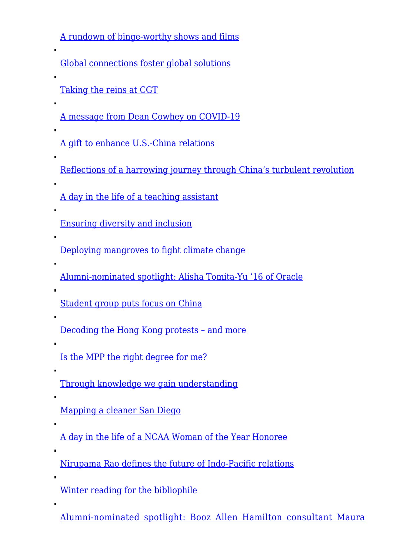[A rundown of binge-worthy shows and films](https://gpsnews.ucsd.edu/a-rundown-of-binge-worthy-shows-and-films.html)

[Global connections foster global solutions](https://gpsnews.ucsd.edu/global-connections-foster-global-solutions.html)

[Taking the reins at CGT](https://gpsnews.ucsd.edu/taking-the-reins-at-cgt.html)

[A message from Dean Cowhey on COVID-19](https://gpsnews.ucsd.edu/a-message-from-dean-cowhey-on-covid-19.html)

[A gift to enhance U.S.-China relations](https://gpsnews.ucsd.edu/a-gift-to-enhance-us-china-relations.html)

[Reflections of a harrowing journey through China's turbulent revolution](https://gpsnews.ucsd.edu/reflections-of-a-harrowing-journey-through-chinas-turbulent-revolution.html)

[A day in the life of a teaching assistant](https://gpsnews.ucsd.edu/a-day-in-the-life-of-a-teaching-assistant.html)

[Ensuring diversity and inclusion](https://gpsnews.ucsd.edu/ensuring-diversity-and-inclusion.html)

[Deploying mangroves to fight climate change](https://gpsnews.ucsd.edu/deploying-mangroves-to-fight-climate-change.html)

[Alumni-nominated spotlight: Alisha Tomita-Yu '16 of Oracle](https://gpsnews.ucsd.edu/alumni-nominated-spotlight-alisha-tomita-yu.html)

[Student group puts focus on China](https://gpsnews.ucsd.edu/student-group-puts-focus-on-china.html)

[Decoding the Hong Kong protests – and more](https://gpsnews.ucsd.edu/decoding-the-hong-kong-protests-and-more.html)

[Is the MPP the right degree for me?](https://gpsnews.ucsd.edu/is-the-mpp-the-right-degree-for-me.html)

[Through knowledge we gain understanding](https://gpsnews.ucsd.edu/through-knowledge-we-gain-understanding.html)

[Mapping a cleaner San Diego](https://gpsnews.ucsd.edu/mapping-a-cleaner-san-diego.html)

[A day in the life of a NCAA Woman of the Year Honoree](https://gpsnews.ucsd.edu/a-day-in-the-life-of-a-ncaa-woman-of-the-year-honoree.html)

[Nirupama Rao defines the future of Indo-Pacific relations](https://gpsnews.ucsd.edu/nirupama-rao-defines-the-future-of-indo-pacific-relations.html)

[Winter reading for the bibliophile](https://gpsnews.ucsd.edu/winter-reading-for-the-bibliophile.html)

[Alumni-nominated spotlight: Booz Allen Hamilton consultant Maura](https://gpsnews.ucsd.edu/alumni-nominated-spotlight-maura-deignan.html)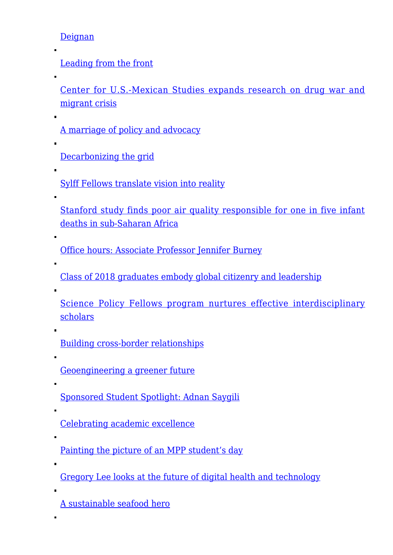[Deignan](https://gpsnews.ucsd.edu/alumni-nominated-spotlight-maura-deignan.html)

[Leading from the front](https://gpsnews.ucsd.edu/leading-from-the-front.html)

[Center for U.S.-Mexican Studies expands research on drug war and](https://gpsnews.ucsd.edu/center-for-us-mexican-studies-expands-research-on-drug-and-migrant-crisis.html) [migrant crisis](https://gpsnews.ucsd.edu/center-for-us-mexican-studies-expands-research-on-drug-and-migrant-crisis.html)

[A marriage of policy and advocacy](https://gpsnews.ucsd.edu/a-marriage-of-policy-and-advocacy.html)

[Decarbonizing the grid](https://gpsnews.ucsd.edu/decarbonizing-the-grid.html)

[Sylff Fellows translate vision into reality](https://gpsnews.ucsd.edu/sylff-fellows-translate-vision-into-reality.html)

[Stanford study finds poor air quality responsible for one in five infant](https://gpsnews.ucsd.edu/stanford-study-finds-poor-air-quality-responsible-for-one-in-five-infant-deaths-in-sub-saharan-africa.html) [deaths in sub‑Saharan Africa](https://gpsnews.ucsd.edu/stanford-study-finds-poor-air-quality-responsible-for-one-in-five-infant-deaths-in-sub-saharan-africa.html)

[Office hours: Associate Professor Jennifer Burney](https://gpsnews.ucsd.edu/office-hours-assistant-professor-jennifer-burney.html)

[Class of 2018 graduates embody global citizenry and leadership](https://gpsnews.ucsd.edu/class-of-2018-graduates-embody-global-citizenry-leadership.html)

[Science Policy Fellows program nurtures effective interdisciplinary](https://gpsnews.ucsd.edu/science-policy-fellows-program-nurtures-effective-scholars.html) [scholars](https://gpsnews.ucsd.edu/science-policy-fellows-program-nurtures-effective-scholars.html)

[Building cross-border relationships](https://gpsnews.ucsd.edu/building-cross-border-relationships.html)

[Geoengineering a greener future](https://gpsnews.ucsd.edu/geoengineering-greener-future.html)

[Sponsored Student Spotlight: Adnan Saygili](https://gpsnews.ucsd.edu/sponsored-student-spotlight-adnan-saygili.html)

[Celebrating academic excellence](https://gpsnews.ucsd.edu/celebrating-academic-excellence.html)

[Painting the picture of an MPP student's day](https://gpsnews.ucsd.edu/painting-the-picture-of-mpp-student.html)

[Gregory Lee looks at the future of digital health and technology](https://gpsnews.ucsd.edu/gregory-lee-looks-at-the-future-of-digital-health-technology.html)

[A sustainable seafood hero](https://gpsnews.ucsd.edu/sustainable-seafood-hero.html)

 $\blacksquare$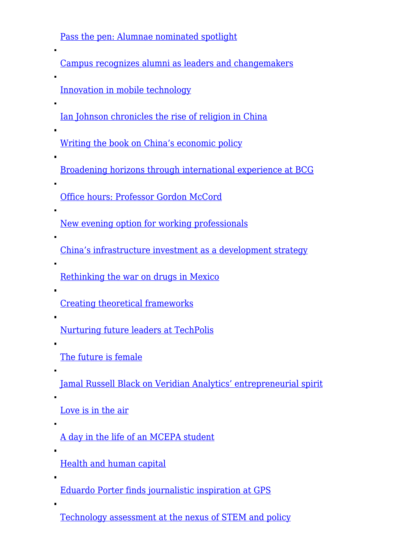[Pass the pen: Alumnae nominated spotlight](https://gpsnews.ucsd.edu/pass-the-pen-alumnae-nominated-spotlight.html)

| <u>Campus recognizes alumni as leaders and changemakers</u>                   |
|-------------------------------------------------------------------------------|
| Innovation in mobile technology                                               |
| <u>Ian Johnson chronicles the rise of religion in China</u>                   |
| <u>Writing the book on China's economic policy</u>                            |
| <u>Broadening horizons through international experience at BCG</u>            |
| П<br>Office hours: Professor Gordon McCord                                    |
| <u>New evening option for working professionals</u>                           |
| П<br>China's infrastructure investment as a development strategy              |
| П<br><u>Rethinking the war on drugs in Mexico</u>                             |
| <b>Creating theoretical frameworks</b>                                        |
| <u>Nurturing future leaders at TechPolis</u>                                  |
| The future is female                                                          |
| п<br><u>Jamal Russell Black on Veridian Analytics' entrepreneurial spirit</u> |
| Love is in the air                                                            |
| A day in the life of an MCEPA student                                         |
| <b>Health and human capital</b>                                               |
| П<br><u>Eduardo Porter finds journalistic inspiration at GPS</u>              |
| п                                                                             |

[Technology assessment at the nexus of STEM and policy](https://gpsnews.ucsd.edu/technology-assessment-at-the-nexus-of-stem-and-policy.html)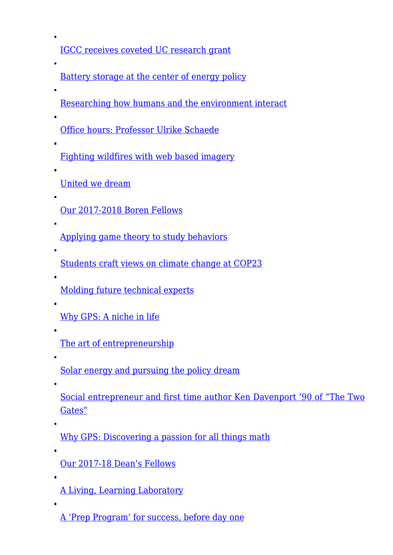[IGCC receives coveted UC research grant](https://gpsnews.ucsd.edu/igcc-receives-coveted-uc-research-grant.html)

- [Battery storage at the center of energy policy](https://gpsnews.ucsd.edu/battery-storage-at-the-center-of-energy-policy.html)
- [Researching how humans and the environment interact](https://gpsnews.ucsd.edu/researching-how-humans-and-the-environment-interact.html)
- [Office hours: Professor Ulrike Schaede](https://gpsnews.ucsd.edu/office-hours-professor-ulrike-schaede.html)
- [Fighting wildfires with web based imagery](https://gpsnews.ucsd.edu/fighting-wildfires-with-web-based-imagery.html)
- [United we dream](https://gpsnews.ucsd.edu/united-we-dream.html)

 $\blacksquare$ 

- [Our 2017-2018 Boren Fellows](https://gpsnews.ucsd.edu/our-2017-2018-boren-fellows.html)
- [Applying game theory to study behaviors](https://gpsnews.ucsd.edu/applying-game-theory-to-study-behaviors.html)
- [Students craft views on climate change at COP23](https://gpsnews.ucsd.edu/students-craft-views-on-climate-change-at-cop23.html)
- [Molding future technical experts](https://gpsnews.ucsd.edu/molding-future-technical-experts.html)
- [Why GPS: A niche in life](https://gpsnews.ucsd.edu/why-gps-a-niche-in-life.html)
- [The art of entrepreneurship](https://gpsnews.ucsd.edu/the-art-of-entrepreneurship.html)
- [Solar energy and pursuing the policy dream](https://gpsnews.ucsd.edu/solar-energy-and-pursuing-the-policy-dream.html)
- [Social entrepreneur and first time author Ken Davenport '90 of "The Two](https://gpsnews.ucsd.edu/social-entrepreneur-and-first-time-author-ken-davenport-90-of-the-two-gates.html) [Gates"](https://gpsnews.ucsd.edu/social-entrepreneur-and-first-time-author-ken-davenport-90-of-the-two-gates.html)
- [Why GPS: Discovering a passion for all things math](https://gpsnews.ucsd.edu/why-gps-discovering-a-passion-for-all-things-math.html)
- [Our 2017-18 Dean's Fellows](https://gpsnews.ucsd.edu/our-2017-18-deans-fellows.html)
- [A Living, Learning Laboratory](https://gpsnews.ucsd.edu/a-living-learning-laboratory.html)
- [A 'Prep Program' for success, before day one](https://gpsnews.ucsd.edu/a-prep-program-for-success-before-day-one.html)